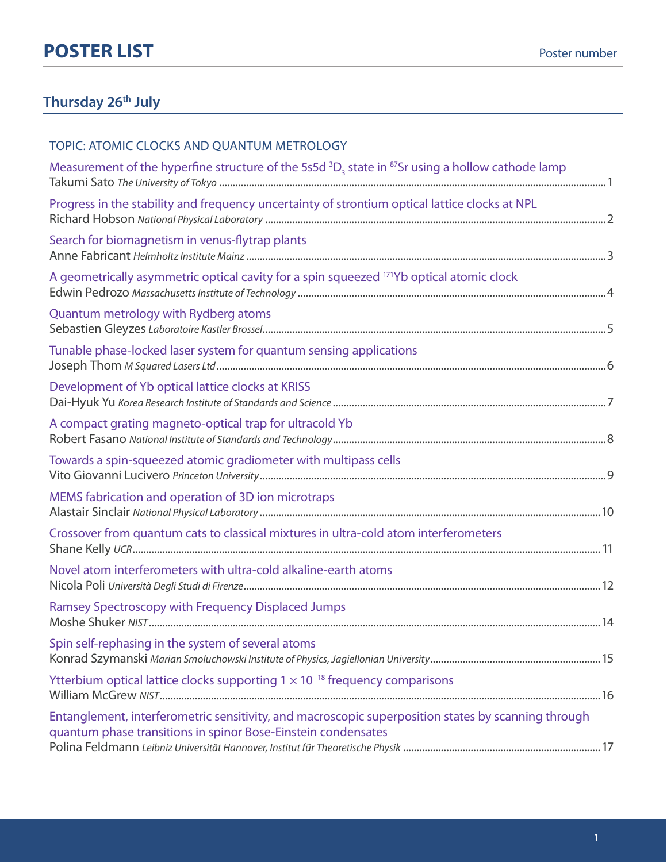### **Thursday 26th July**

| TOPIC: ATOMIC CLOCKS AND QUANTUM METROLOGY                                                                                                                           |
|----------------------------------------------------------------------------------------------------------------------------------------------------------------------|
| Measurement of the hyperfine structure of the 5s5d ${}^{3}D_{3}$ state in ${}^{87}Sr$ using a hollow cathode lamp                                                    |
| Progress in the stability and frequency uncertainty of strontium optical lattice clocks at NPL                                                                       |
| Search for biomagnetism in venus-flytrap plants                                                                                                                      |
| A geometrically asymmetric optical cavity for a spin squeezed 171Yb optical atomic clock                                                                             |
| Quantum metrology with Rydberg atoms                                                                                                                                 |
| Tunable phase-locked laser system for quantum sensing applications                                                                                                   |
| Development of Yb optical lattice clocks at KRISS                                                                                                                    |
| A compact grating magneto-optical trap for ultracold Yb                                                                                                              |
| Towards a spin-squeezed atomic gradiometer with multipass cells                                                                                                      |
| MEMS fabrication and operation of 3D ion microtraps                                                                                                                  |
| Crossover from quantum cats to classical mixtures in ultra-cold atom interferometers                                                                                 |
| Novel atom interferometers with ultra-cold alkaline-earth atoms                                                                                                      |
| Ramsey Spectroscopy with Frequency Displaced Jumps                                                                                                                   |
| Spin self-rephasing in the system of several atoms                                                                                                                   |
| Ytterbium optical lattice clocks supporting $1 \times 10^{-18}$ frequency comparisons                                                                                |
| Entanglement, interferometric sensitivity, and macroscopic superposition states by scanning through<br>quantum phase transitions in spinor Bose-Einstein condensates |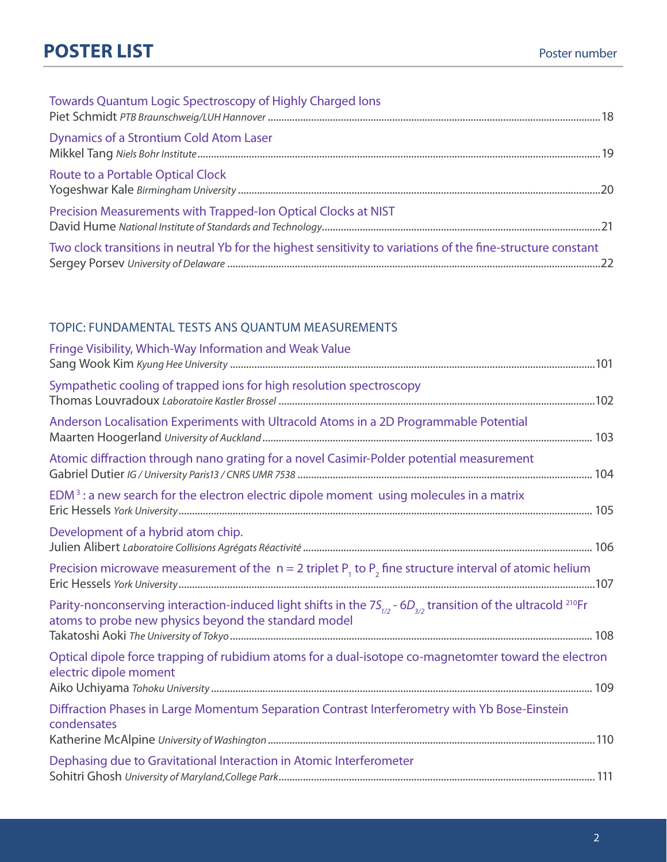| Towards Quantum Logic Spectroscopy of Highly Charged Ions                                                    |
|--------------------------------------------------------------------------------------------------------------|
| Dynamics of a Strontium Cold Atom Laser                                                                      |
| Route to a Portable Optical Clock                                                                            |
| Precision Measurements with Trapped-Ion Optical Clocks at NIST                                               |
| Two clock transitions in neutral Yb for the highest sensitivity to variations of the fine-structure constant |

### TOPIC: Fundamental tests ans quantum measurements

| Fringe Visibility, Which-Way Information and Weak Value                                                                                                                                    |  |
|--------------------------------------------------------------------------------------------------------------------------------------------------------------------------------------------|--|
| Sympathetic cooling of trapped ions for high resolution spectroscopy                                                                                                                       |  |
| Anderson Localisation Experiments with Ultracold Atoms in a 2D Programmable Potential                                                                                                      |  |
| Atomic diffraction through nano grating for a novel Casimir-Polder potential measurement                                                                                                   |  |
| $EDM3$ : a new search for the electron electric dipole moment using molecules in a matrix                                                                                                  |  |
| Development of a hybrid atom chip.                                                                                                                                                         |  |
| Precision microwave measurement of the $n = 2$ triplet $P_1$ to $P_2$ fine structure interval of atomic helium                                                                             |  |
| Parity-nonconserving interaction-induced light shifts in the $7S_{1/2}$ - $6D_{3/2}$ transition of the ultracold <sup>210</sup> Fr<br>atoms to probe new physics beyond the standard model |  |
|                                                                                                                                                                                            |  |
| Optical dipole force trapping of rubidium atoms for a dual-isotope co-magnetomter toward the electron<br>electric dipole moment                                                            |  |
| Diffraction Phases in Large Momentum Separation Contrast Interferometry with Yb Bose-Einstein<br>condensates                                                                               |  |
| Dephasing due to Gravitational Interaction in Atomic Interferometer                                                                                                                        |  |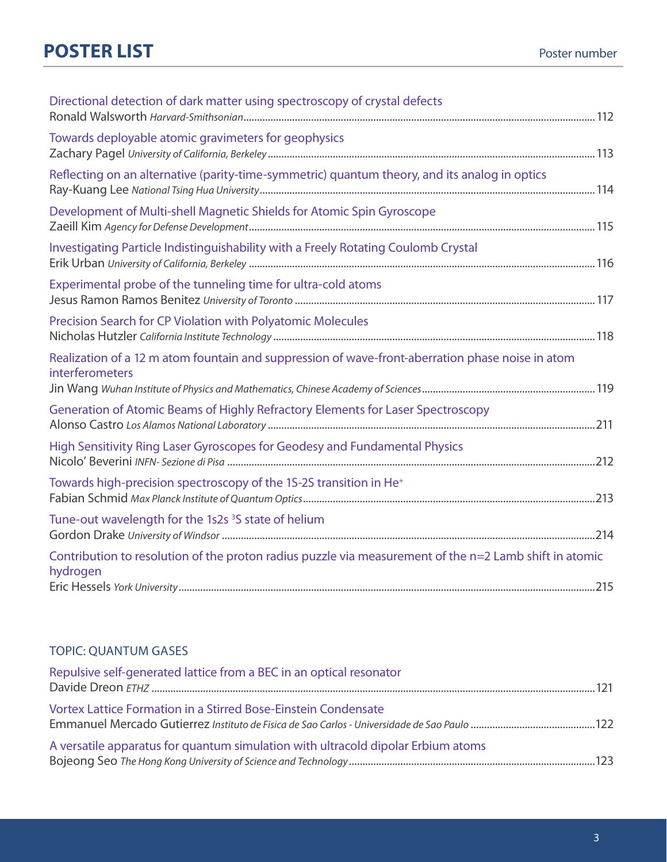| Directional detection of dark matter using spectroscopy of crystal defects                                          |
|---------------------------------------------------------------------------------------------------------------------|
| Towards deployable atomic gravimeters for geophysics                                                                |
| Reflecting on an alternative (parity-time-symmetric) quantum theory, and its analog in optics                       |
| Development of Multi-shell Magnetic Shields for Atomic Spin Gyroscope                                               |
| Investigating Particle Indistinguishability with a Freely Rotating Coulomb Crystal                                  |
| Experimental probe of the tunneling time for ultra-cold atoms                                                       |
| Precision Search for CP Violation with Polyatomic Molecules                                                         |
| Realization of a 12 m atom fountain and suppression of wave-front-aberration phase noise in atom<br>interferometers |
| Generation of Atomic Beams of Highly Refractory Elements for Laser Spectroscopy                                     |
| High Sensitivity Ring Laser Gyroscopes for Geodesy and Fundamental Physics                                          |
| Towards high-precision spectroscopy of the 1S-2S transition in He <sup>+</sup>                                      |
| Tune-out wavelength for the 1s2s <sup>3</sup> S state of helium                                                     |
| Contribution to resolution of the proton radius puzzle via measurement of the n=2 Lamb shift in atomic<br>hydrogen  |

#### TOPIC: Quantum gases

| Repulsive self-generated lattice from a BEC in an optical resonator              |
|----------------------------------------------------------------------------------|
| Vortex Lattice Formation in a Stirred Bose-Einstein Condensate                   |
| A versatile apparatus for quantum simulation with ultracold dipolar Erbium atoms |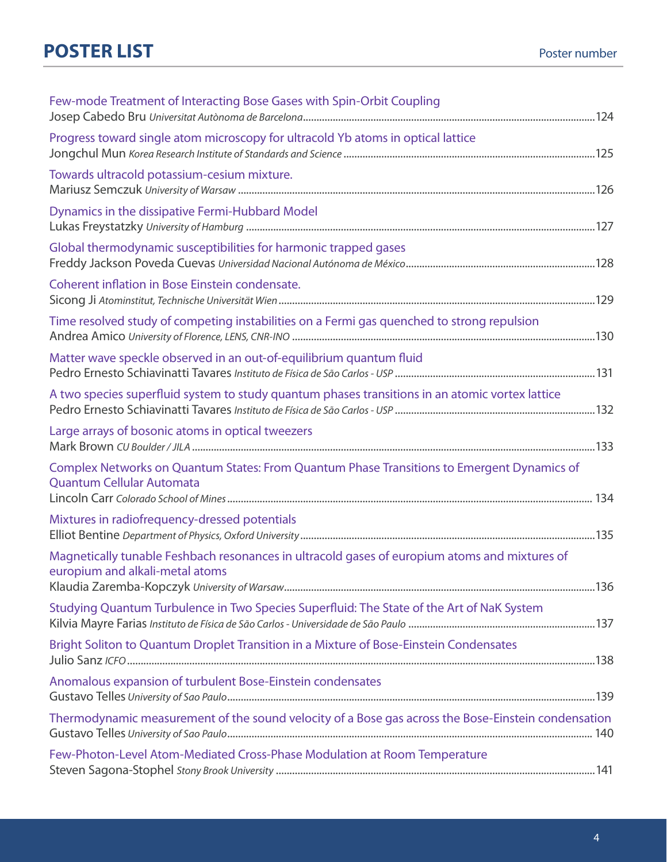| Few-mode Treatment of Interacting Bose Gases with Spin-Orbit Coupling                                                            |
|----------------------------------------------------------------------------------------------------------------------------------|
| Progress toward single atom microscopy for ultracold Yb atoms in optical lattice                                                 |
| Towards ultracold potassium-cesium mixture.                                                                                      |
| Dynamics in the dissipative Fermi-Hubbard Model                                                                                  |
| Global thermodynamic susceptibilities for harmonic trapped gases                                                                 |
| Coherent inflation in Bose Einstein condensate.                                                                                  |
| Time resolved study of competing instabilities on a Fermi gas quenched to strong repulsion                                       |
| Matter wave speckle observed in an out-of-equilibrium quantum fluid                                                              |
| A two species superfluid system to study quantum phases transitions in an atomic vortex lattice                                  |
| Large arrays of bosonic atoms in optical tweezers                                                                                |
| Complex Networks on Quantum States: From Quantum Phase Transitions to Emergent Dynamics of<br>Quantum Cellular Automata          |
| Mixtures in radiofrequency-dressed potentials                                                                                    |
| Magnetically tunable Feshbach resonances in ultracold gases of europium atoms and mixtures of<br>europium and alkali-metal atoms |
| Studying Quantum Turbulence in Two Species Superfluid: The State of the Art of NaK System                                        |
| Bright Soliton to Quantum Droplet Transition in a Mixture of Bose-Einstein Condensates                                           |
| Anomalous expansion of turbulent Bose-Einstein condensates                                                                       |
| Thermodynamic measurement of the sound velocity of a Bose gas across the Bose-Einstein condensation                              |
| Few-Photon-Level Atom-Mediated Cross-Phase Modulation at Room Temperature                                                        |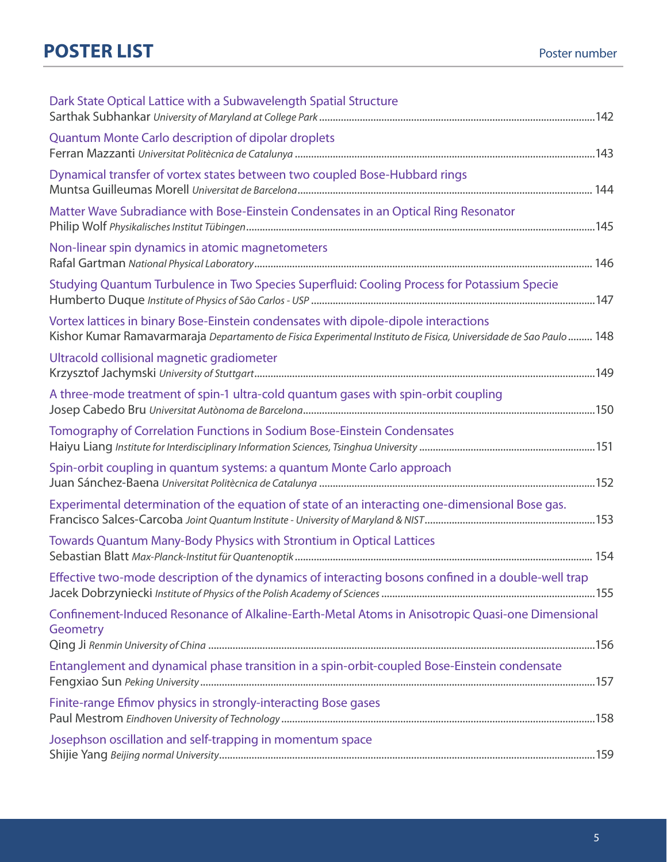| Dark State Optical Lattice with a Subwavelength Spatial Structure                                                                                                                                        |  |
|----------------------------------------------------------------------------------------------------------------------------------------------------------------------------------------------------------|--|
| <b>Quantum Monte Carlo description of dipolar droplets</b>                                                                                                                                               |  |
| Dynamical transfer of vortex states between two coupled Bose-Hubbard rings                                                                                                                               |  |
| Matter Wave Subradiance with Bose-Einstein Condensates in an Optical Ring Resonator                                                                                                                      |  |
| Non-linear spin dynamics in atomic magnetometers                                                                                                                                                         |  |
| Studying Quantum Turbulence in Two Species Superfluid: Cooling Process for Potassium Specie                                                                                                              |  |
| Vortex lattices in binary Bose-Einstein condensates with dipole-dipole interactions<br>Kishor Kumar Ramavarmaraja Departamento de Fisica Experimental Instituto de Fisica, Universidade de Sao Paulo 148 |  |
| Ultracold collisional magnetic gradiometer                                                                                                                                                               |  |
| A three-mode treatment of spin-1 ultra-cold quantum gases with spin-orbit coupling                                                                                                                       |  |
| Tomography of Correlation Functions in Sodium Bose-Einstein Condensates                                                                                                                                  |  |
| Spin-orbit coupling in quantum systems: a quantum Monte Carlo approach                                                                                                                                   |  |
| Experimental determination of the equation of state of an interacting one-dimensional Bose gas.                                                                                                          |  |
| Towards Quantum Many-Body Physics with Strontium in Optical Lattices                                                                                                                                     |  |
| Effective two-mode description of the dynamics of interacting bosons confined in a double-well trap                                                                                                      |  |
| Confinement-Induced Resonance of Alkaline-Earth-Metal Atoms in Anisotropic Quasi-one Dimensional<br>Geometry                                                                                             |  |
| Entanglement and dynamical phase transition in a spin-orbit-coupled Bose-Einstein condensate                                                                                                             |  |
| Finite-range Efimov physics in strongly-interacting Bose gases                                                                                                                                           |  |
| Josephson oscillation and self-trapping in momentum space                                                                                                                                                |  |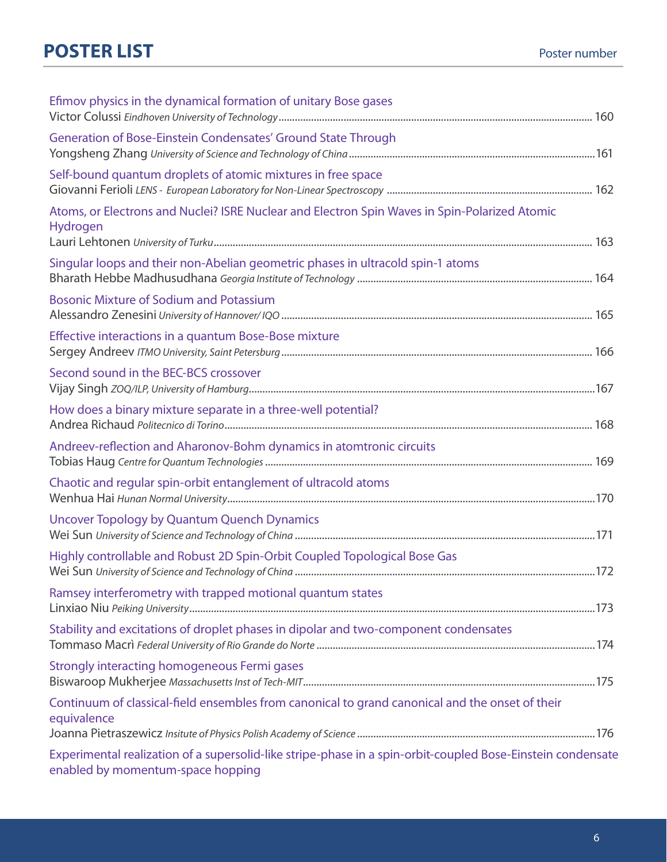| Efimov physics in the dynamical formation of unitary Bose gases                                                                                  |  |
|--------------------------------------------------------------------------------------------------------------------------------------------------|--|
| Generation of Bose-Einstein Condensates' Ground State Through                                                                                    |  |
| Self-bound quantum droplets of atomic mixtures in free space                                                                                     |  |
| Atoms, or Electrons and Nuclei? ISRE Nuclear and Electron Spin Waves in Spin-Polarized Atomic<br>Hydrogen                                        |  |
| Singular loops and their non-Abelian geometric phases in ultracold spin-1 atoms                                                                  |  |
| <b>Bosonic Mixture of Sodium and Potassium</b>                                                                                                   |  |
| Effective interactions in a quantum Bose-Bose mixture                                                                                            |  |
| Second sound in the BEC-BCS crossover                                                                                                            |  |
| How does a binary mixture separate in a three-well potential?                                                                                    |  |
| Andreev-reflection and Aharonov-Bohm dynamics in atomtronic circuits                                                                             |  |
| Chaotic and regular spin-orbit entanglement of ultracold atoms                                                                                   |  |
| Uncover Topology by Quantum Quench Dynamics                                                                                                      |  |
| Highly controllable and Robust 2D Spin-Orbit Coupled Topological Bose Gas                                                                        |  |
| Ramsey interferometry with trapped motional quantum states                                                                                       |  |
| Stability and excitations of droplet phases in dipolar and two-component condensates                                                             |  |
| Strongly interacting homogeneous Fermi gases                                                                                                     |  |
| Continuum of classical-field ensembles from canonical to grand canonical and the onset of their<br>equivalence                                   |  |
| Experimental realization of a supersolid-like stripe-phase in a spin-orbit-coupled Bose-Einstein condensate<br>enabled by momentum-space hopping |  |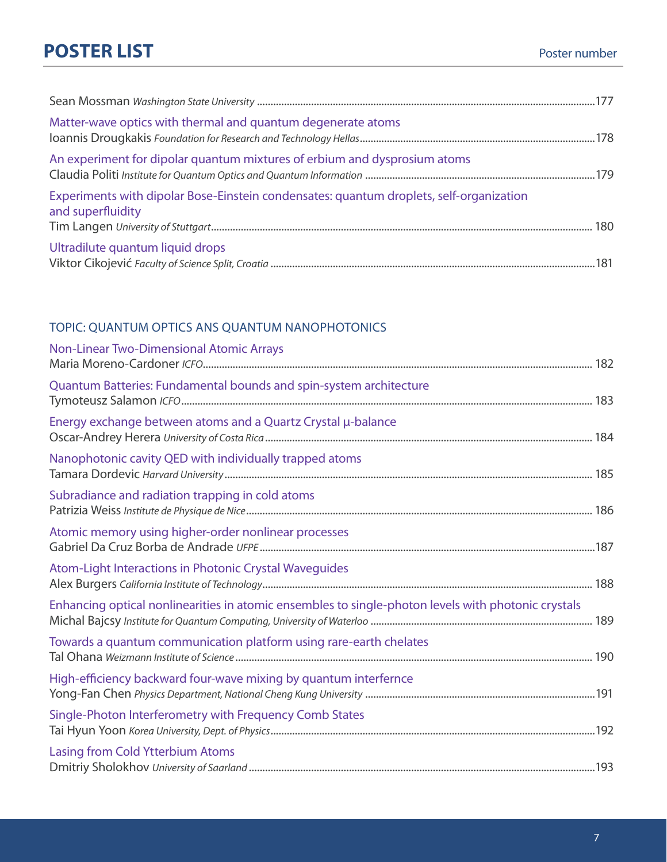| Matter-wave optics with thermal and quantum degenerate atoms                                                 |  |
|--------------------------------------------------------------------------------------------------------------|--|
| An experiment for dipolar quantum mixtures of erbium and dysprosium atoms                                    |  |
| Experiments with dipolar Bose-Einstein condensates: quantum droplets, self-organization<br>and superfluidity |  |
| Ultradilute quantum liquid drops                                                                             |  |

#### TOPIC: Quantum optics ans quantum nanophotonics

| Non-Linear Two-Dimensional Atomic Arrays                                                            |  |
|-----------------------------------------------------------------------------------------------------|--|
| Quantum Batteries: Fundamental bounds and spin-system architecture                                  |  |
| Energy exchange between atoms and a Quartz Crystal µ-balance                                        |  |
| Nanophotonic cavity QED with individually trapped atoms                                             |  |
| Subradiance and radiation trapping in cold atoms                                                    |  |
| Atomic memory using higher-order nonlinear processes                                                |  |
| Atom-Light Interactions in Photonic Crystal Waveguides                                              |  |
| Enhancing optical nonlinearities in atomic ensembles to single-photon levels with photonic crystals |  |
| Towards a quantum communication platform using rare-earth chelates                                  |  |
| High-efficiency backward four-wave mixing by quantum interfernce                                    |  |
| Single-Photon Interferometry with Frequency Comb States                                             |  |
| <b>Lasing from Cold Ytterbium Atoms</b>                                                             |  |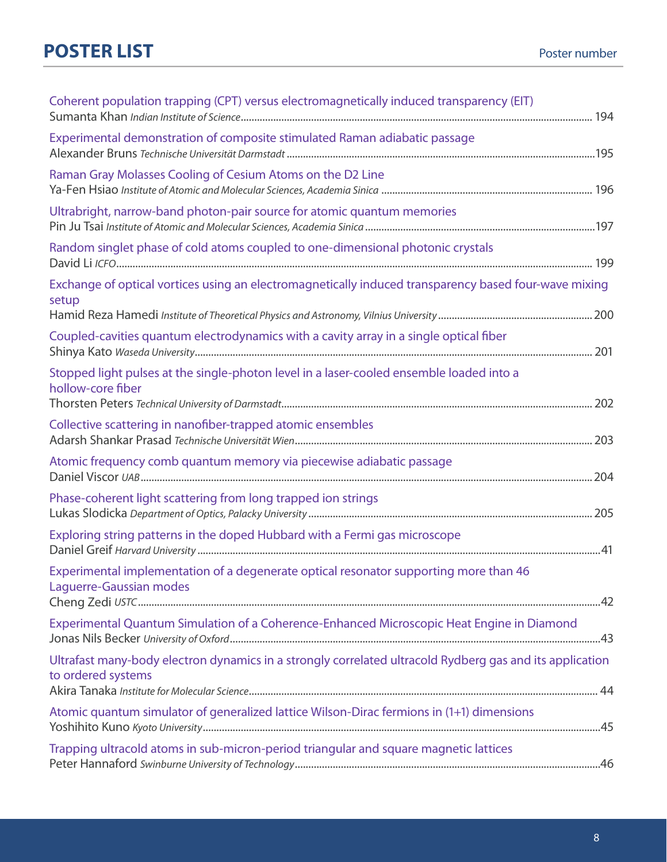| Coherent population trapping (CPT) versus electromagnetically induced transparency (EIT)                                       |
|--------------------------------------------------------------------------------------------------------------------------------|
| Experimental demonstration of composite stimulated Raman adiabatic passage                                                     |
| Raman Gray Molasses Cooling of Cesium Atoms on the D2 Line                                                                     |
| Ultrabright, narrow-band photon-pair source for atomic quantum memories                                                        |
| Random singlet phase of cold atoms coupled to one-dimensional photonic crystals                                                |
| Exchange of optical vortices using an electromagnetically induced transparency based four-wave mixing<br>setup                 |
|                                                                                                                                |
| Coupled-cavities quantum electrodynamics with a cavity array in a single optical fiber                                         |
| Stopped light pulses at the single-photon level in a laser-cooled ensemble loaded into a<br>hollow-core fiber                  |
| Collective scattering in nanofiber-trapped atomic ensembles                                                                    |
| Atomic frequency comb quantum memory via piecewise adiabatic passage                                                           |
| Phase-coherent light scattering from long trapped ion strings                                                                  |
| Exploring string patterns in the doped Hubbard with a Fermi gas microscope                                                     |
| Experimental implementation of a degenerate optical resonator supporting more than 46<br>Laguerre-Gaussian modes               |
| Experimental Quantum Simulation of a Coherence-Enhanced Microscopic Heat Engine in Diamond                                     |
| Ultrafast many-body electron dynamics in a strongly correlated ultracold Rydberg gas and its application<br>to ordered systems |
| Atomic quantum simulator of generalized lattice Wilson-Dirac fermions in (1+1) dimensions                                      |
| Trapping ultracold atoms in sub-micron-period triangular and square magnetic lattices                                          |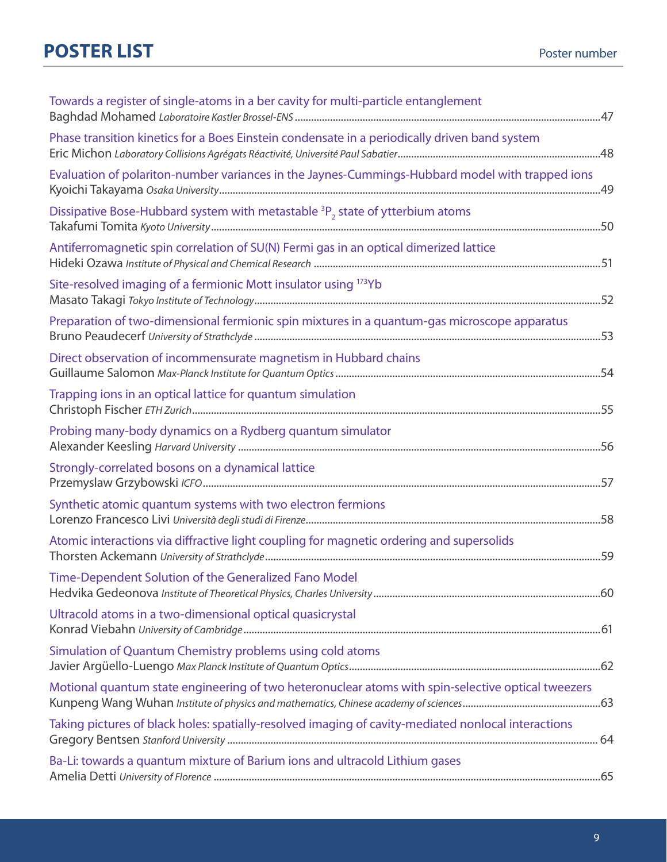| Towards a register of single-atoms in a ber cavity for multi-particle entanglement                   |  |
|------------------------------------------------------------------------------------------------------|--|
| Phase transition kinetics for a Boes Einstein condensate in a periodically driven band system        |  |
| Evaluation of polariton-number variances in the Jaynes-Cummings-Hubbard model with trapped ions      |  |
| Dissipative Bose-Hubbard system with metastable <sup>3</sup> P <sub>2</sub> state of ytterbium atoms |  |
| Antiferromagnetic spin correlation of SU(N) Fermi gas in an optical dimerized lattice                |  |
| Site-resolved imaging of a fermionic Mott insulator using 173Yb                                      |  |
| Preparation of two-dimensional fermionic spin mixtures in a quantum-gas microscope apparatus         |  |
| Direct observation of incommensurate magnetism in Hubbard chains                                     |  |
| Trapping ions in an optical lattice for quantum simulation                                           |  |
| Probing many-body dynamics on a Rydberg quantum simulator                                            |  |
| Strongly-correlated bosons on a dynamical lattice                                                    |  |
| Synthetic atomic quantum systems with two electron fermions                                          |  |
| Atomic interactions via diffractive light coupling for magnetic ordering and supersolids             |  |
| Time-Dependent Solution of the Generalized Fano Model                                                |  |
| Ultracold atoms in a two-dimensional optical quasicrystal                                            |  |
| Simulation of Quantum Chemistry problems using cold atoms                                            |  |
| Motional quantum state engineering of two heteronuclear atoms with spin-selective optical tweezers   |  |
| Taking pictures of black holes: spatially-resolved imaging of cavity-mediated nonlocal interactions  |  |
| Ba-Li: towards a quantum mixture of Barium ions and ultracold Lithium gases                          |  |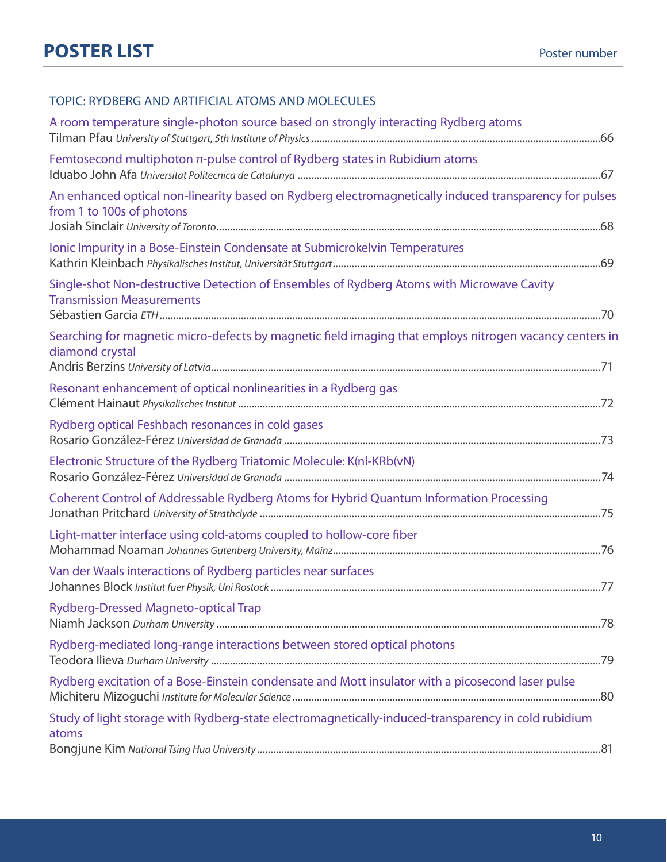#### TOPIC: Rydberg and artificial atoms and molecules

| A room temperature single-photon source based on strongly interacting Rydberg atoms                                                 |  |
|-------------------------------------------------------------------------------------------------------------------------------------|--|
| Femtosecond multiphoton $\pi$ -pulse control of Rydberg states in Rubidium atoms                                                    |  |
| An enhanced optical non-linearity based on Rydberg electromagnetically induced transparency for pulses<br>from 1 to 100s of photons |  |
| Ionic Impurity in a Bose-Einstein Condensate at Submicrokelvin Temperatures                                                         |  |
| Single-shot Non-destructive Detection of Ensembles of Rydberg Atoms with Microwave Cavity<br><b>Transmission Measurements</b>       |  |
| Searching for magnetic micro-defects by magnetic field imaging that employs nitrogen vacancy centers in<br>diamond crystal          |  |
| Resonant enhancement of optical nonlinearities in a Rydberg gas                                                                     |  |
| Rydberg optical Feshbach resonances in cold gases                                                                                   |  |
| Electronic Structure of the Rydberg Triatomic Molecule: K(nl-KRb(vN)                                                                |  |
| Coherent Control of Addressable Rydberg Atoms for Hybrid Quantum Information Processing                                             |  |
| Light-matter interface using cold-atoms coupled to hollow-core fiber                                                                |  |
| Van der Waals interactions of Rydberg particles near surfaces                                                                       |  |
| Rydberg-Dressed Magneto-optical Trap                                                                                                |  |
| Rydberg-mediated long-range interactions between stored optical photons                                                             |  |
| Rydberg excitation of a Bose-Einstein condensate and Mott insulator with a picosecond laser pulse                                   |  |
| Study of light storage with Rydberg-state electromagnetically-induced-transparency in cold rubidium<br>atoms                        |  |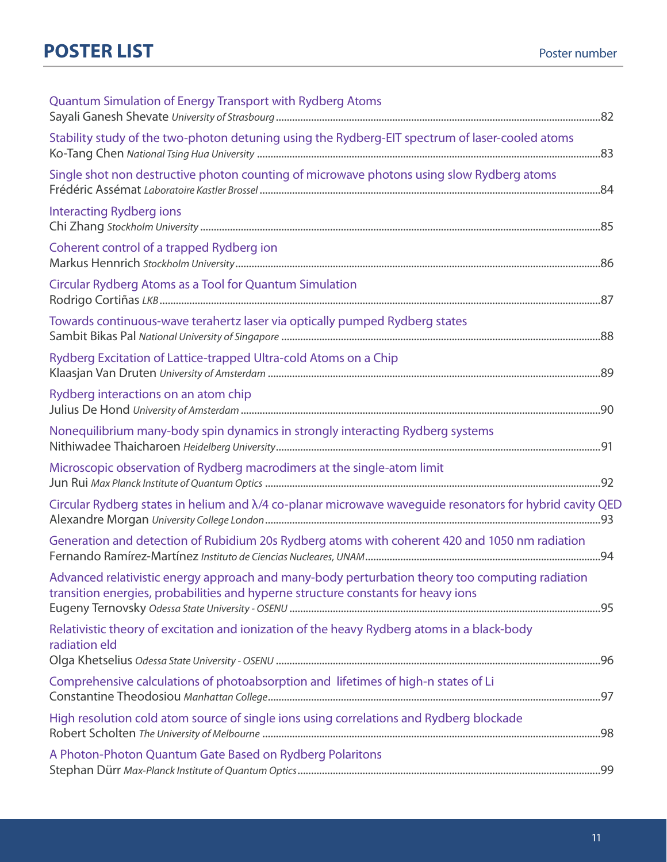| <b>Quantum Simulation of Energy Transport with Rydberg Atoms</b>                                                                                                                     |  |
|--------------------------------------------------------------------------------------------------------------------------------------------------------------------------------------|--|
| Stability study of the two-photon detuning using the Rydberg-EIT spectrum of laser-cooled atoms                                                                                      |  |
| Single shot non destructive photon counting of microwave photons using slow Rydberg atoms                                                                                            |  |
| <b>Interacting Rydberg ions</b>                                                                                                                                                      |  |
| Coherent control of a trapped Rydberg ion                                                                                                                                            |  |
| Circular Rydberg Atoms as a Tool for Quantum Simulation                                                                                                                              |  |
| Towards continuous-wave terahertz laser via optically pumped Rydberg states                                                                                                          |  |
| Rydberg Excitation of Lattice-trapped Ultra-cold Atoms on a Chip                                                                                                                     |  |
| Rydberg interactions on an atom chip                                                                                                                                                 |  |
| Nonequilibrium many-body spin dynamics in strongly interacting Rydberg systems                                                                                                       |  |
| Microscopic observation of Rydberg macrodimers at the single-atom limit                                                                                                              |  |
| Circular Rydberg states in helium and $\lambda$ /4 co-planar microwave waveguide resonators for hybrid cavity QED                                                                    |  |
| Generation and detection of Rubidium 20s Rydberg atoms with coherent 420 and 1050 nm radiation                                                                                       |  |
| Advanced relativistic energy approach and many-body perturbation theory too computing radiation<br>transition energies, probabilities and hyperne structure constants for heavy ions |  |
| Relativistic theory of excitation and ionization of the heavy Rydberg atoms in a black-body<br>radiation eld                                                                         |  |
| Comprehensive calculations of photoabsorption and lifetimes of high-n states of Li                                                                                                   |  |
| High resolution cold atom source of single ions using correlations and Rydberg blockade                                                                                              |  |
| A Photon-Photon Quantum Gate Based on Rydberg Polaritons                                                                                                                             |  |